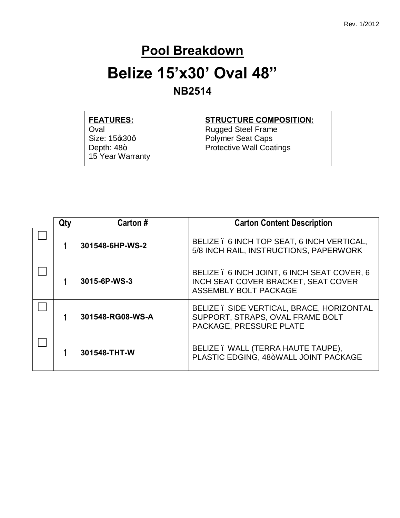#### **Pool Breakdown**

#### **Belize 15'x30' Oval 48"**

#### **NB2514**

| <b>FEATURES:</b> | <b>STRUCTURE COMPOSITION:</b>   |
|------------------|---------------------------------|
| Oval             | <b>Rugged Steel Frame</b>       |
| Size: 15%30q     | <b>Polymer Seat Caps</b>        |
| Depth: $48+$     | <b>Protective Wall Coatings</b> |
| 15 Year Warranty |                                 |
|                  |                                 |

| Qtv | Carton#          | <b>Carton Content Description</b>                                                                           |
|-----|------------------|-------------------------------------------------------------------------------------------------------------|
|     | 301548-6HP-WS-2  | BELIZE . 6 INCH TOP SEAT, 6 INCH VERTICAL,<br>5/8 INCH RAIL, INSTRUCTIONS, PAPERWORK                        |
|     | 3015-6P-WS-3     | BELIZE . 6 INCH JOINT, 6 INCH SEAT COVER, 6<br>INCH SEAT COVER BRACKET, SEAT COVER<br>ASSEMBLY BOLT PACKAGE |
|     | 301548-RG08-WS-A | BELIZE . SIDE VERTICAL, BRACE, HORIZONTAL<br>SUPPORT, STRAPS, OVAL FRAME BOLT<br>PACKAGE, PRESSURE PLATE    |
|     | 301548-THT-W     | BELIZE . WALL (TERRA HAUTE TAUPE),<br>PLASTIC EDGING, 48+WALL JOINT PACKAGE                                 |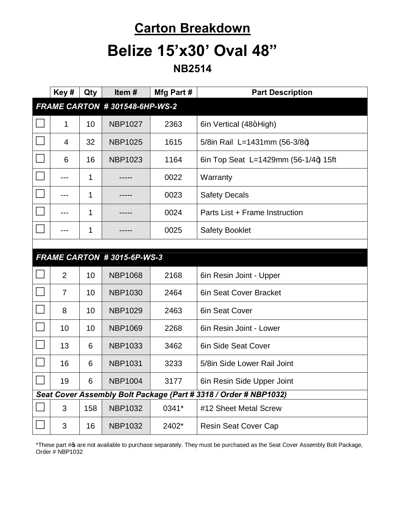#### **Carton Breakdown**

## **Belize 15'x30' Oval 48"**

**NB2514**

|                                                                  | Key#                          | Qty | Item#                      | Mfg Part # | <b>Part Description</b>              |  |
|------------------------------------------------------------------|-------------------------------|-----|----------------------------|------------|--------------------------------------|--|
|                                                                  | FRAME CARTON #301548-6HP-WS-2 |     |                            |            |                                      |  |
|                                                                  | 1                             | 10  | <b>NBP1027</b>             | 2363       | 6in Vertical (48+High)               |  |
|                                                                  | 4                             | 32  | <b>NBP1025</b>             | 1615       | 5/8in Rail L=1431mm (56-3/8+)        |  |
|                                                                  | 6                             | 16  | <b>NBP1023</b>             | 1164       | 6in Top Seat L=1429mm (56-1/4+) 15ft |  |
|                                                                  | ---                           | 1   |                            | 0022       | Warranty                             |  |
|                                                                  |                               | 1   |                            | 0023       | <b>Safety Decals</b>                 |  |
|                                                                  | ---                           | 1   |                            | 0024       | Parts List + Frame Instruction       |  |
|                                                                  | ---                           | 1   |                            | 0025       | <b>Safety Booklet</b>                |  |
|                                                                  |                               |     |                            |            |                                      |  |
|                                                                  |                               |     | FRAME CARTON #3015-6P-WS-3 |            |                                      |  |
|                                                                  | $\overline{2}$                | 10  | <b>NBP1068</b>             | 2168       | 6in Resin Joint - Upper              |  |
|                                                                  | $\overline{7}$                | 10  | <b>NBP1030</b>             | 2464       | 6in Seat Cover Bracket               |  |
|                                                                  | 8                             | 10  | <b>NBP1029</b>             | 2463       | 6in Seat Cover                       |  |
|                                                                  | 10                            | 10  | <b>NBP1069</b>             | 2268       | 6in Resin Joint - Lower              |  |
|                                                                  | 13                            | 6   | <b>NBP1033</b>             | 3462       | 6in Side Seat Cover                  |  |
|                                                                  | 16                            | 6   | <b>NBP1031</b>             | 3233       | 5/8in Side Lower Rail Joint          |  |
| $\Box$                                                           | 19                            | 6   | <b>NBP1004</b>             | 3177       | 6in Resin Side Upper Joint           |  |
| Seat Cover Assembly Bolt Package (Part # 3318 / Order # NBP1032) |                               |     |                            |            |                                      |  |
|                                                                  | 3                             | 158 | <b>NBP1032</b>             | 0341*      | #12 Sheet Metal Screw                |  |
|                                                                  | 3                             | 16  | <b>NBP1032</b>             | 2402*      | <b>Resin Seat Cover Cap</b>          |  |

\*These part # a are not available to purchase separately. They must be purchased as the Seat Cover Assembly Bolt Package, Order # NBP1032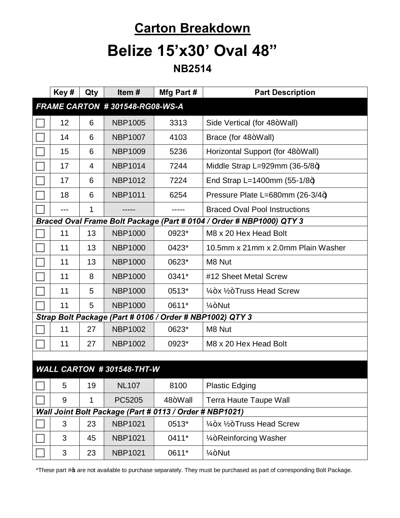## **Carton Breakdown**

## **Belize 15'x30' Oval 48"**

**NB2514**

|                                                         | Key# | Qty | Item#          | Mfg Part # | <b>Part Description</b>                                              |  |
|---------------------------------------------------------|------|-----|----------------|------------|----------------------------------------------------------------------|--|
| FRAME CARTON #301548-RG08-WS-A                          |      |     |                |            |                                                                      |  |
|                                                         | 12   | 6   | <b>NBP1005</b> | 3313       | Side Vertical (for 48+Wall)                                          |  |
|                                                         | 14   | 6   | <b>NBP1007</b> | 4103       | Brace (for 48+Wall)                                                  |  |
|                                                         | 15   | 6   | <b>NBP1009</b> | 5236       | Horizontal Support (for 48+Wall)                                     |  |
|                                                         | 17   | 4   | <b>NBP1014</b> | 7244       | Middle Strap L=929mm $(36-5/8+)$                                     |  |
|                                                         | 17   | 6   | <b>NBP1012</b> | 7224       | End Strap L=1400mm $(55-1/8+)$                                       |  |
|                                                         | 18   | 6   | <b>NBP1011</b> | 6254       | Pressure Plate L=680mm (26-3/4+)                                     |  |
|                                                         | ---  | 1   |                |            | <b>Braced Oval Pool Instructions</b>                                 |  |
|                                                         |      |     |                |            | Braced Oval Frame Bolt Package (Part # 0104 / Order # NBP1000) QTY 3 |  |
|                                                         | 11   | 13  | <b>NBP1000</b> | 0923*      | M8 x 20 Hex Head Bolt                                                |  |
|                                                         | 11   | 13  | <b>NBP1000</b> | 0423*      | 10.5mm x 21mm x 2.0mm Plain Washer                                   |  |
|                                                         | 11   | 13  | <b>NBP1000</b> | 0623*      | M8 Nut                                                               |  |
|                                                         | 11   | 8   | <b>NBP1000</b> | 0341*      | #12 Sheet Metal Screw                                                |  |
|                                                         | 11   | 5   | <b>NBP1000</b> | 0513*      | $\frac{1}{4}$ +x $\frac{1}{2}$ +Truss Head Screw                     |  |
|                                                         | 11   | 5   | <b>NBP1000</b> | 0611*      | $1/4 + N$ ut                                                         |  |
|                                                         |      |     |                |            | Strap Bolt Package (Part # 0106 / Order # NBP1002) QTY 3             |  |
|                                                         | 11   | 27  | <b>NBP1002</b> | 0623*      | M8 Nut                                                               |  |
|                                                         | 11   | 27  | <b>NBP1002</b> | 0923*      | M8 x 20 Hex Head Bolt                                                |  |
|                                                         |      |     |                |            |                                                                      |  |
| WALL CARTON #301548-THT-W                               |      |     |                |            |                                                                      |  |
|                                                         | 5    | 19  | <b>NL107</b>   | 8100       | <b>Plastic Edging</b>                                                |  |
|                                                         | 9    | 1   | PC5205         | 48+Wall    | <b>Terra Haute Taupe Wall</b>                                        |  |
| Wall Joint Bolt Package (Part # 0113 / Order # NBP1021) |      |     |                |            |                                                                      |  |
|                                                         | 3    | 23  | <b>NBP1021</b> | 0513*      | $\frac{1}{4}$ +x $\frac{1}{2}$ +Truss Head Screw                     |  |
|                                                         | 3    | 45  | <b>NBP1021</b> | 0411*      | 1/ <sub>4</sub> +Reinforcing Washer                                  |  |
|                                                         | 3    | 23  | <b>NBP1021</b> | 0611*      | $1/4 + N$ ut                                                         |  |

\*These part # are not available to purchase separately. They must be purchased as part of corresponding Bolt Package.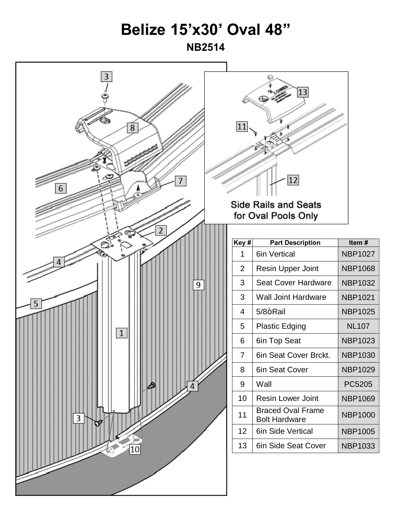# **Belize 15'x30' Oval 48"**

**NB2514**